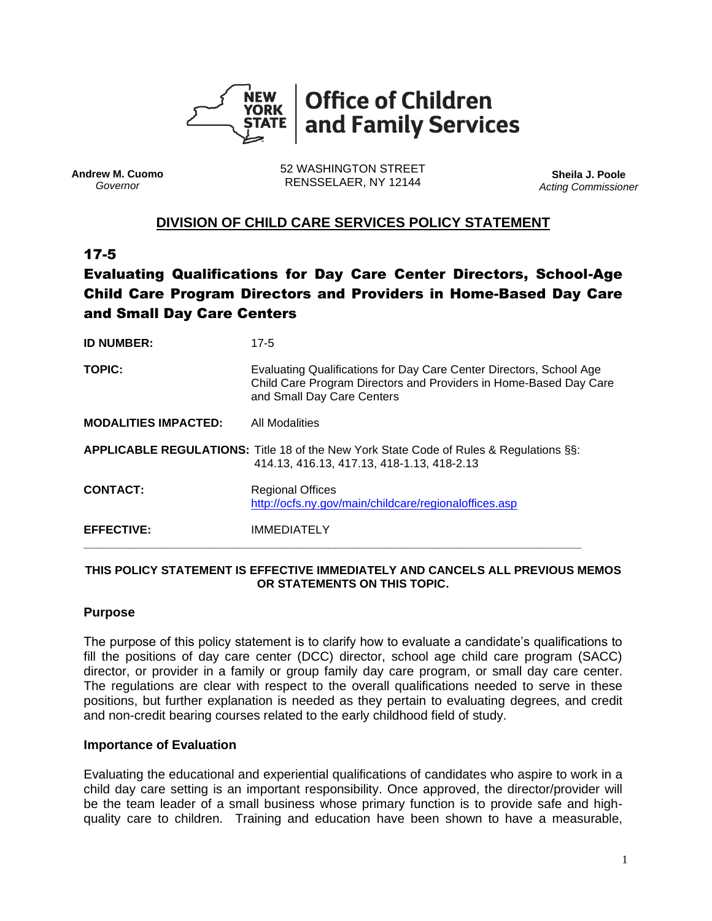

**Andrew M. Cuomo** *Governor*

52 WASHINGTON STREET RENSSELAER, NY 12144 **Sheila J. Poole**

*Acting Commissioner*

# **DIVISION OF CHILD CARE SERVICES POLICY STATEMENT**

# 17-5

# Evaluating Qualifications for Day Care Center Directors, School-Age Child Care Program Directors and Providers in Home-Based Day Care and Small Day Care Centers

| <b>ID NUMBER:</b>           | $17 - 5$                                                                                                                                                               |
|-----------------------------|------------------------------------------------------------------------------------------------------------------------------------------------------------------------|
| <b>TOPIC:</b>               | Evaluating Qualifications for Day Care Center Directors, School Age<br>Child Care Program Directors and Providers in Home-Based Day Care<br>and Small Day Care Centers |
| <b>MODALITIES IMPACTED:</b> | <b>All Modalities</b>                                                                                                                                                  |
|                             | APPLICABLE REGULATIONS: Title 18 of the New York State Code of Rules & Regulations §§:<br>414.13, 416.13, 417.13, 418-1.13, 418-2.13                                   |
| <b>CONTACT:</b>             | <b>Regional Offices</b><br>http://ocfs.ny.gov/main/childcare/regionaloffices.asp                                                                                       |
| <b>EFFECTIVE:</b>           | <b>IMMEDIATELY</b>                                                                                                                                                     |

#### **THIS POLICY STATEMENT IS EFFECTIVE IMMEDIATELY AND CANCELS ALL PREVIOUS MEMOS OR STATEMENTS ON THIS TOPIC.**

#### **Purpose**

The purpose of this policy statement is to clarify how to evaluate a candidate's qualifications to fill the positions of day care center (DCC) director, school age child care program (SACC) director, or provider in a family or group family day care program, or small day care center. The regulations are clear with respect to the overall qualifications needed to serve in these positions, but further explanation is needed as they pertain to evaluating degrees, and credit and non-credit bearing courses related to the early childhood field of study.

#### **Importance of Evaluation**

Evaluating the educational and experiential qualifications of candidates who aspire to work in a child day care setting is an important responsibility. Once approved, the director/provider will be the team leader of a small business whose primary function is to provide safe and highquality care to children. Training and education have been shown to have a measurable,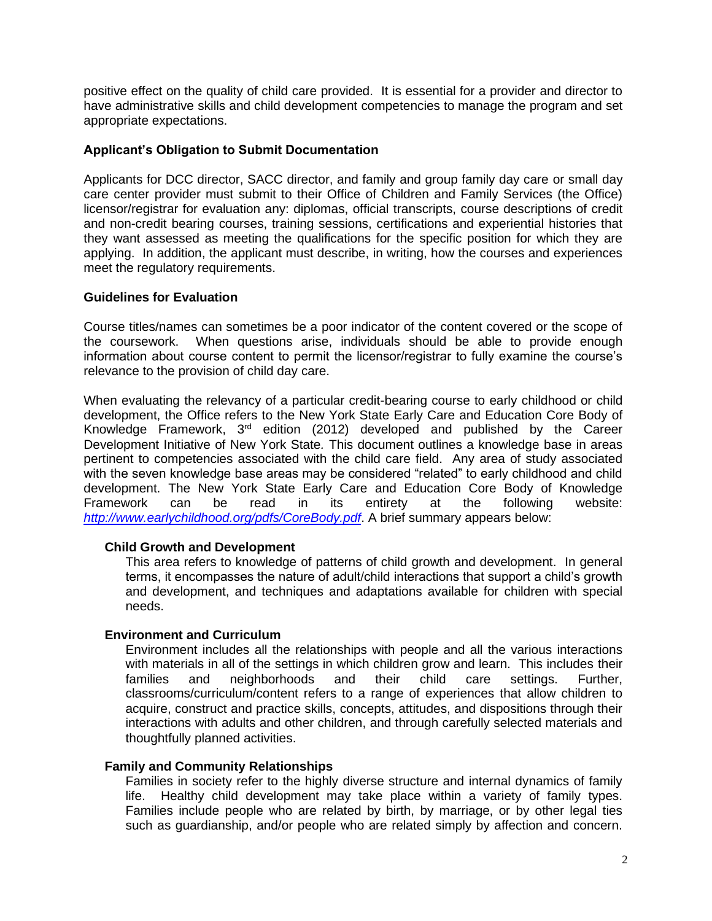positive effect on the quality of child care provided. It is essential for a provider and director to have administrative skills and child development competencies to manage the program and set appropriate expectations.

#### **Applicant's Obligation to Submit Documentation**

Applicants for DCC director, SACC director, and family and group family day care or small day care center provider must submit to their Office of Children and Family Services (the Office) licensor/registrar for evaluation any: diplomas, official transcripts, course descriptions of credit and non-credit bearing courses, training sessions, certifications and experiential histories that they want assessed as meeting the qualifications for the specific position for which they are applying. In addition, the applicant must describe, in writing, how the courses and experiences meet the regulatory requirements.

#### **Guidelines for Evaluation**

Course titles/names can sometimes be a poor indicator of the content covered or the scope of the coursework. When questions arise, individuals should be able to provide enough information about course content to permit the licensor/registrar to fully examine the course's relevance to the provision of child day care.

When evaluating the relevancy of a particular credit-bearing course to early childhood or child development, the Office refers to the New York State Early Care and Education Core Body of Knowledge Framework, 3rd edition (2012) developed and published by the Career Development Initiative of New York State*.* This document outlines a knowledge base in areas pertinent to competencies associated with the child care field. Any area of study associated with the seven knowledge base areas may be considered "related" to early childhood and child development. The New York State Early Care and Education Core Body of Knowledge Framework can be read in its entirety at the following website: *<http://www.earlychildhood.org/pdfs/CoreBody.pdf>*. A brief summary appears below:

#### **Child Growth and Development**

This area refers to knowledge of patterns of child growth and development. In general terms, it encompasses the nature of adult/child interactions that support a child's growth and development, and techniques and adaptations available for children with special needs.

#### **Environment and Curriculum**

Environment includes all the relationships with people and all the various interactions with materials in all of the settings in which children grow and learn. This includes their families and neighborhoods and their child care settings. Further, classrooms/curriculum/content refers to a range of experiences that allow children to acquire, construct and practice skills, concepts, attitudes, and dispositions through their interactions with adults and other children, and through carefully selected materials and thoughtfully planned activities.

#### **Family and Community Relationships**

Families in society refer to the highly diverse structure and internal dynamics of family life. Healthy child development may take place within a variety of family types. Families include people who are related by birth, by marriage, or by other legal ties such as guardianship, and/or people who are related simply by affection and concern.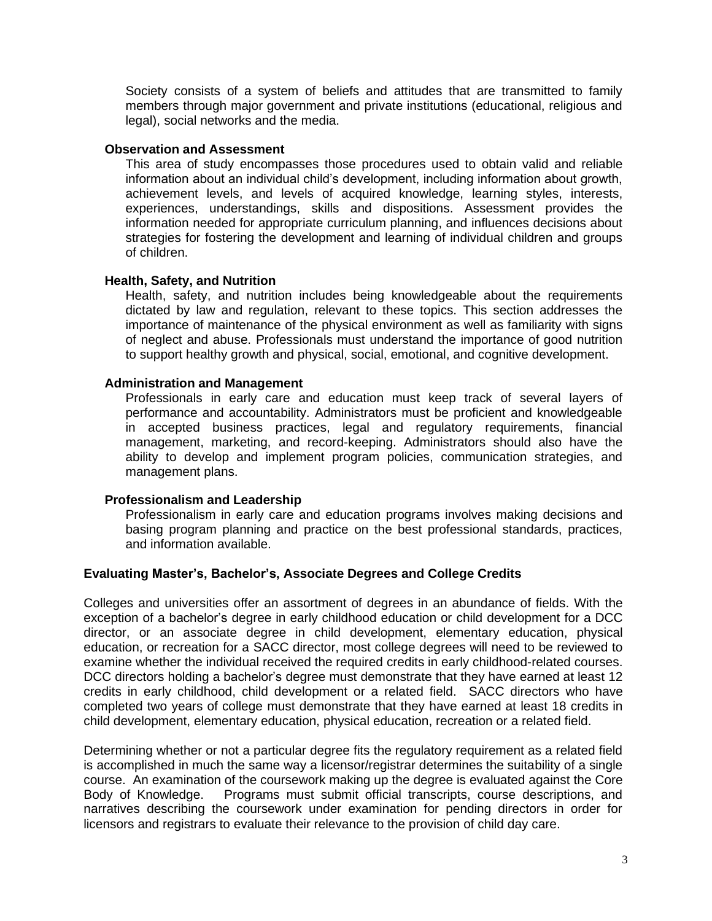Society consists of a system of beliefs and attitudes that are transmitted to family members through major government and private institutions (educational, religious and legal), social networks and the media.

#### **Observation and Assessment**

This area of study encompasses those procedures used to obtain valid and reliable information about an individual child's development, including information about growth, achievement levels, and levels of acquired knowledge, learning styles, interests, experiences, understandings, skills and dispositions. Assessment provides the information needed for appropriate curriculum planning, and influences decisions about strategies for fostering the development and learning of individual children and groups of children.

# **Health, Safety, and Nutrition**

Health, safety, and nutrition includes being knowledgeable about the requirements dictated by law and regulation, relevant to these topics. This section addresses the importance of maintenance of the physical environment as well as familiarity with signs of neglect and abuse. Professionals must understand the importance of good nutrition to support healthy growth and physical, social, emotional, and cognitive development.

# **Administration and Management**

Professionals in early care and education must keep track of several layers of performance and accountability. Administrators must be proficient and knowledgeable in accepted business practices, legal and regulatory requirements, financial management, marketing, and record-keeping. Administrators should also have the ability to develop and implement program policies, communication strategies, and management plans.

#### **Professionalism and Leadership**

Professionalism in early care and education programs involves making decisions and basing program planning and practice on the best professional standards, practices, and information available.

# **Evaluating Master's, Bachelor's, Associate Degrees and College Credits**

Colleges and universities offer an assortment of degrees in an abundance of fields. With the exception of a bachelor's degree in early childhood education or child development for a DCC director, or an associate degree in child development, elementary education, physical education, or recreation for a SACC director, most college degrees will need to be reviewed to examine whether the individual received the required credits in early childhood-related courses. DCC directors holding a bachelor's degree must demonstrate that they have earned at least 12 credits in early childhood, child development or a related field. SACC directors who have completed two years of college must demonstrate that they have earned at least 18 credits in child development, elementary education, physical education, recreation or a related field.

Determining whether or not a particular degree fits the regulatory requirement as a related field is accomplished in much the same way a licensor/registrar determines the suitability of a single course. An examination of the coursework making up the degree is evaluated against the Core Body of Knowledge. Programs must submit official transcripts, course descriptions, and narratives describing the coursework under examination for pending directors in order for licensors and registrars to evaluate their relevance to the provision of child day care.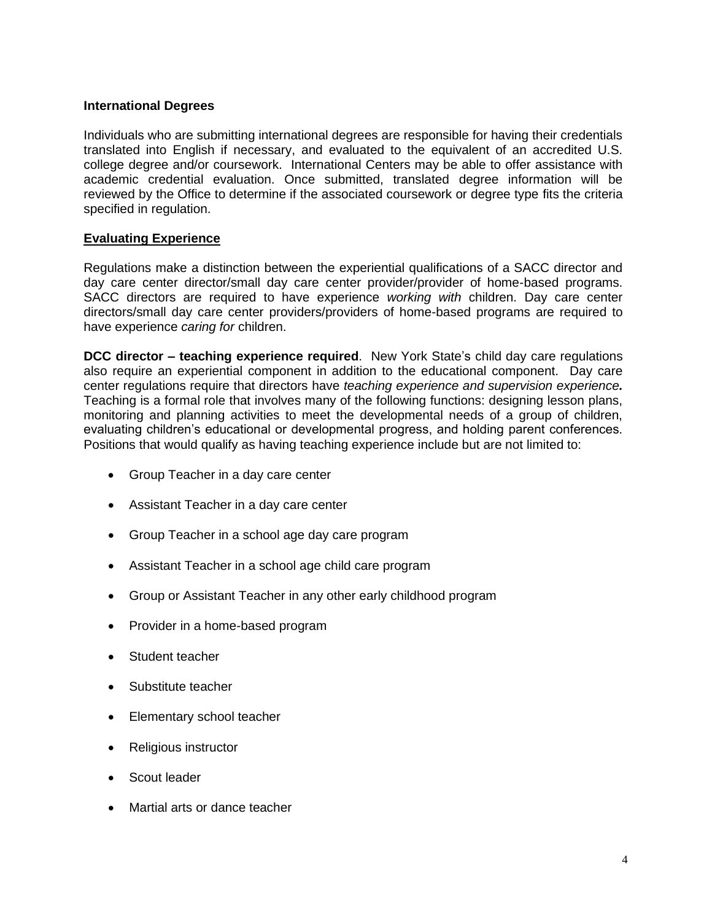# **International Degrees**

Individuals who are submitting international degrees are responsible for having their credentials translated into English if necessary, and evaluated to the equivalent of an accredited U.S. college degree and/or coursework. International Centers may be able to offer assistance with academic credential evaluation. Once submitted, translated degree information will be reviewed by the Office to determine if the associated coursework or degree type fits the criteria specified in regulation.

# **Evaluating Experience**

Regulations make a distinction between the experiential qualifications of a SACC director and day care center director/small day care center provider/provider of home-based programs. SACC directors are required to have experience *working with* children. Day care center directors/small day care center providers/providers of home-based programs are required to have experience *caring for* children.

**DCC director – teaching experience required**. New York State's child day care regulations also require an experiential component in addition to the educational component. Day care center regulations require that directors have *teaching experience and supervision experience.*  Teaching is a formal role that involves many of the following functions: designing lesson plans, monitoring and planning activities to meet the developmental needs of a group of children, evaluating children's educational or developmental progress, and holding parent conferences. Positions that would qualify as having teaching experience include but are not limited to:

- Group Teacher in a day care center
- Assistant Teacher in a day care center
- Group Teacher in a school age day care program
- Assistant Teacher in a school age child care program
- Group or Assistant Teacher in any other early childhood program
- Provider in a home-based program
- Student teacher
- Substitute teacher
- Elementary school teacher
- Religious instructor
- Scout leader
- Martial arts or dance teacher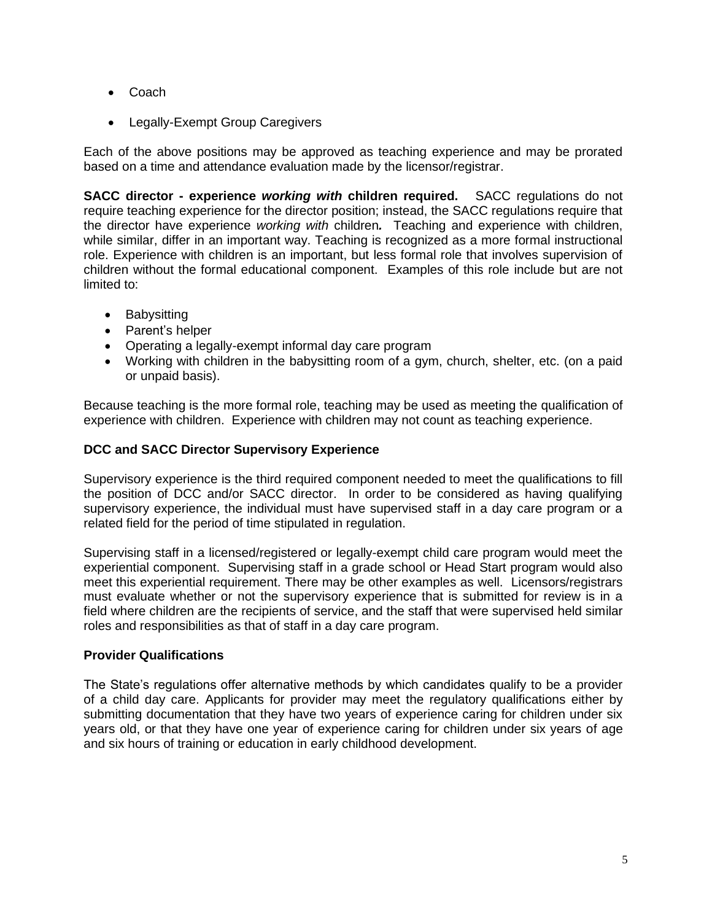- Coach
- Legally-Exempt Group Caregivers

Each of the above positions may be approved as teaching experience and may be prorated based on a time and attendance evaluation made by the licensor/registrar.

**SACC director - experience** *working with* **children required.** SACC regulations do not require teaching experience for the director position; instead, the SACC regulations require that the director have experience *working with* children*.* Teaching and experience with children, while similar, differ in an important way. Teaching is recognized as a more formal instructional role. Experience with children is an important, but less formal role that involves supervision of children without the formal educational component. Examples of this role include but are not limited to:

- Babysitting
- Parent's helper
- Operating a legally-exempt informal day care program
- Working with children in the babysitting room of a gym, church, shelter, etc. (on a paid or unpaid basis).

Because teaching is the more formal role, teaching may be used as meeting the qualification of experience with children. Experience with children may not count as teaching experience.

# **DCC and SACC Director Supervisory Experience**

Supervisory experience is the third required component needed to meet the qualifications to fill the position of DCC and/or SACC director. In order to be considered as having qualifying supervisory experience, the individual must have supervised staff in a day care program or a related field for the period of time stipulated in regulation.

Supervising staff in a licensed/registered or legally-exempt child care program would meet the experiential component. Supervising staff in a grade school or Head Start program would also meet this experiential requirement. There may be other examples as well. Licensors/registrars must evaluate whether or not the supervisory experience that is submitted for review is in a field where children are the recipients of service, and the staff that were supervised held similar roles and responsibilities as that of staff in a day care program.

# **Provider Qualifications**

The State's regulations offer alternative methods by which candidates qualify to be a provider of a child day care. Applicants for provider may meet the regulatory qualifications either by submitting documentation that they have two years of experience caring for children under six years old, or that they have one year of experience caring for children under six years of age and six hours of training or education in early childhood development.